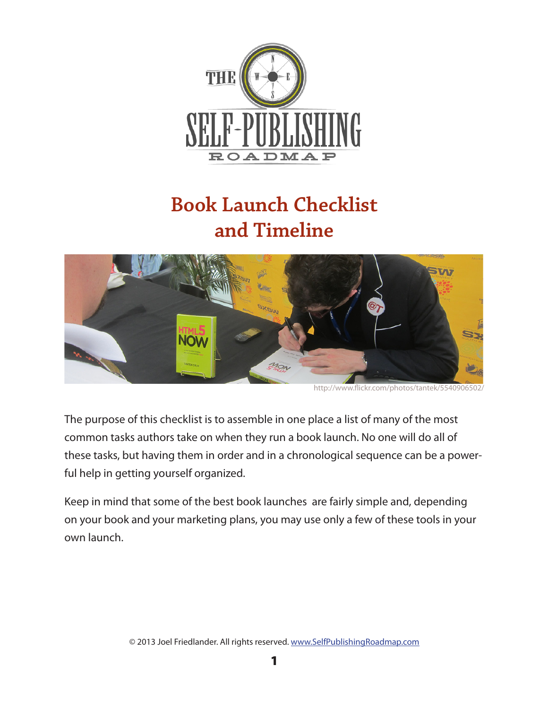

# **Book Launch Checklist and Timeline**



http://www.flickr.com/photos/tantek/5540906502/

The purpose of this checklist is to assemble in one place a list of many of the most common tasks authors take on when they run a book launch. No one will do all of these tasks, but having them in order and in a chronological sequence can be a powerful help in getting yourself organized.

Keep in mind that some of the best book launches are fairly simple and, depending on your book and your marketing plans, you may use only a few of these tools in your own launch.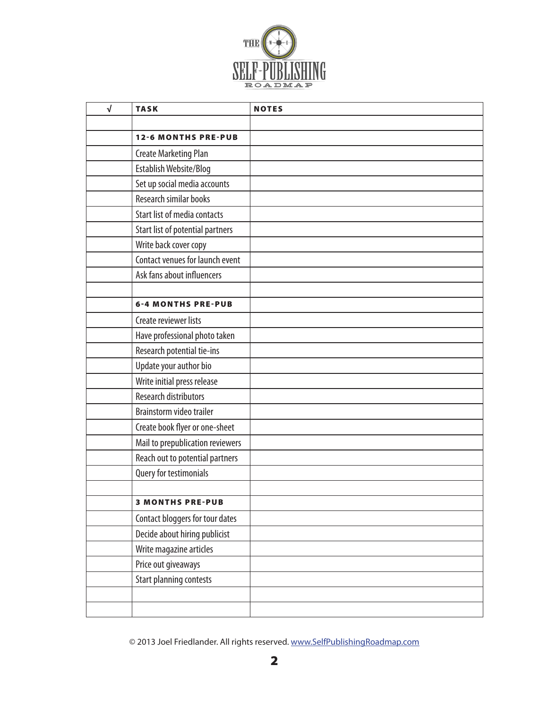

| $\sqrt{ }$ | <b>TASK</b>                         | <b>NOTES</b> |
|------------|-------------------------------------|--------------|
|            |                                     |              |
|            | <b>12-6 MONTHS PRE-PUB</b>          |              |
|            | <b>Create Marketing Plan</b>        |              |
|            | Establish Website/Blog              |              |
|            | Set up social media accounts        |              |
|            | Research similar books              |              |
|            | <b>Start list of media contacts</b> |              |
|            | Start list of potential partners    |              |
|            | Write back cover copy               |              |
|            | Contact venues for launch event     |              |
|            | Ask fans about influencers          |              |
|            |                                     |              |
|            | <b>6-4 MONTHS PRE-PUB</b>           |              |
|            | Create reviewer lists               |              |
|            | Have professional photo taken       |              |
|            | Research potential tie-ins          |              |
|            | Update your author bio              |              |
|            | Write initial press release         |              |
|            | <b>Research distributors</b>        |              |
|            | Brainstorm video trailer            |              |
|            | Create book flyer or one-sheet      |              |
|            | Mail to prepublication reviewers    |              |
|            | Reach out to potential partners     |              |
|            | Query for testimonials              |              |
|            |                                     |              |
|            | <b>3 MONTHS PRE-PUB</b>             |              |
|            | Contact bloggers for tour dates     |              |
|            | Decide about hiring publicist       |              |
|            | Write magazine articles             |              |
|            | Price out giveaways                 |              |
|            | <b>Start planning contests</b>      |              |
|            |                                     |              |
|            |                                     |              |

© 2013 Joel Friedlander. All rights reserved. [www.SelfPublishingRoadmap.com](http://www.thebookdesigner.com/roadmap-early-notice-list-double)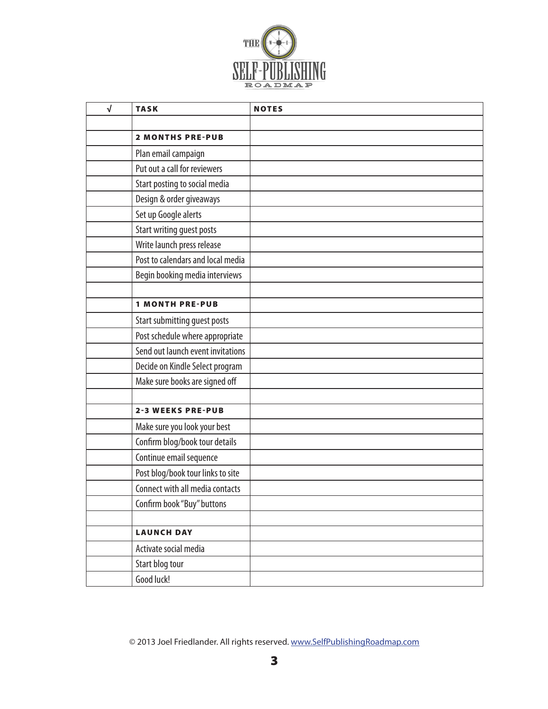

| $\sqrt{ }$ | <b>TASK</b>                       | <b>NOTES</b> |
|------------|-----------------------------------|--------------|
|            |                                   |              |
|            | <b>2 MONTHS PRE-PUB</b>           |              |
|            | Plan email campaign               |              |
|            | Put out a call for reviewers      |              |
|            | Start posting to social media     |              |
|            | Design & order giveaways          |              |
|            | Set up Google alerts              |              |
|            | <b>Start writing guest posts</b>  |              |
|            | Write launch press release        |              |
|            | Post to calendars and local media |              |
|            | Begin booking media interviews    |              |
|            |                                   |              |
|            | <b>1 MONTH PRE-PUB</b>            |              |
|            | Start submitting guest posts      |              |
|            | Post schedule where appropriate   |              |
|            | Send out launch event invitations |              |
|            | Decide on Kindle Select program   |              |
|            | Make sure books are signed off    |              |
|            |                                   |              |
|            | <b>2-3 WEEKS PRE-PUB</b>          |              |
|            | Make sure you look your best      |              |
|            | Confirm blog/book tour details    |              |
|            | Continue email sequence           |              |
|            | Post blog/book tour links to site |              |
|            | Connect with all media contacts   |              |
|            | Confirm book "Buy" buttons        |              |
|            |                                   |              |
|            | <b>LAUNCH DAY</b>                 |              |
|            | Activate social media             |              |
|            | Start blog tour                   |              |
|            | Good luck!                        |              |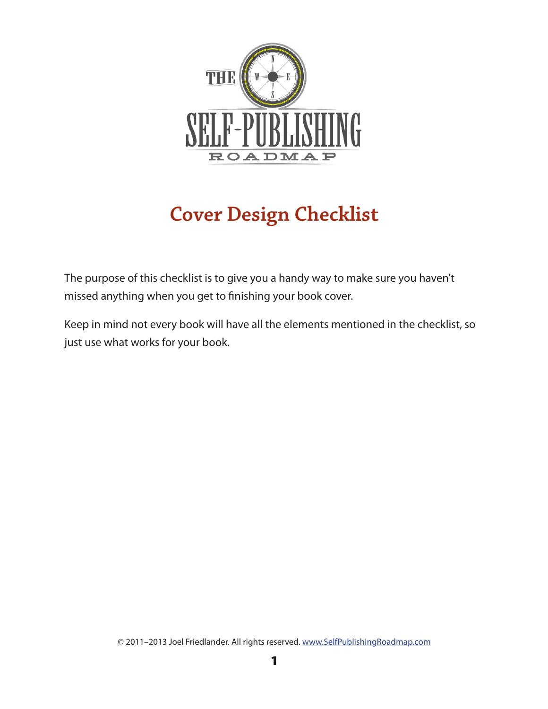

# **Cover Design Checklist**

The purpose of this checklist is to give you a handy way to make sure you haven't missed anything when you get to finishing your book cover.

Keep in mind not every book will have all the elements mentioned in the checklist, so just use what works for your book.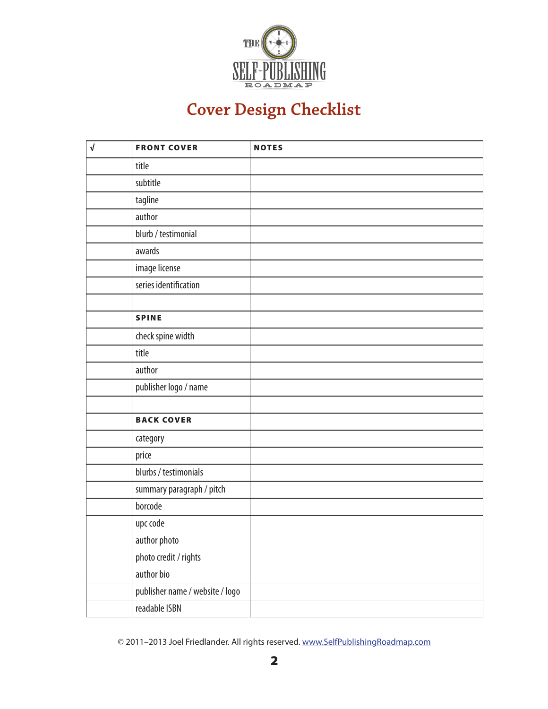

### **Cover Design Checklist**

| $\sqrt{ }$ | <b>FRONT COVER</b>              | <b>NOTES</b> |
|------------|---------------------------------|--------------|
|            | title                           |              |
|            | subtitle                        |              |
|            | tagline                         |              |
|            | author                          |              |
|            | blurb / testimonial             |              |
|            | awards                          |              |
|            | image license                   |              |
|            | series identification           |              |
|            |                                 |              |
|            | <b>SPINE</b>                    |              |
|            | check spine width               |              |
|            | title                           |              |
|            | author                          |              |
|            | publisher logo / name           |              |
|            |                                 |              |
|            | <b>BACK COVER</b>               |              |
|            | category                        |              |
|            | price                           |              |
|            | blurbs / testimonials           |              |
|            | summary paragraph / pitch       |              |
|            | borcode                         |              |
|            | upc code                        |              |
|            | author photo                    |              |
|            | photo credit / rights           |              |
|            | author bio                      |              |
|            | publisher name / website / logo |              |
|            | readable ISBN                   |              |

© 2011–2013 Joel Friedlander. All rights reserved. [www.SelfPublishingRoadmap.com](http://www.thebookdesigner.com/roadmap-early-notice-list-double)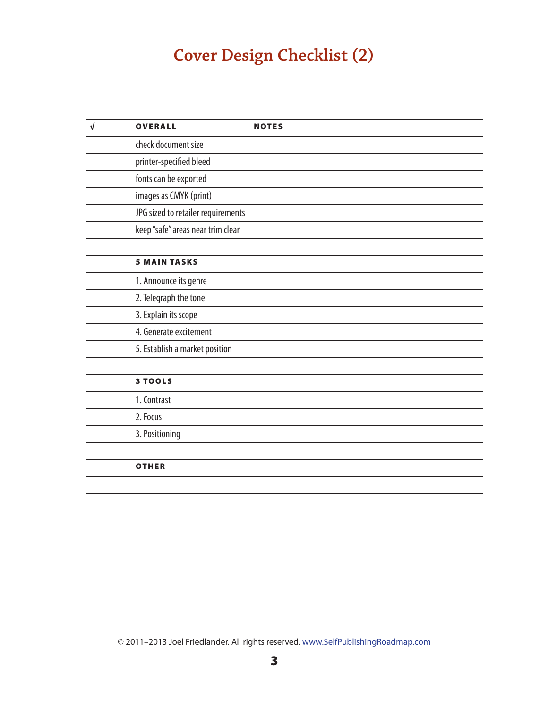#### **Cover Design Checklist (2)**

| $\sqrt{2}$ | <b>OVERALL</b>                     | <b>NOTES</b> |
|------------|------------------------------------|--------------|
|            | check document size                |              |
|            | printer-specified bleed            |              |
|            | fonts can be exported              |              |
|            | images as CMYK (print)             |              |
|            | JPG sized to retailer requirements |              |
|            | keep "safe" areas near trim clear  |              |
|            |                                    |              |
|            | <b>5 MAIN TASKS</b>                |              |
|            | 1. Announce its genre              |              |
|            | 2. Telegraph the tone              |              |
|            | 3. Explain its scope               |              |
|            | 4. Generate excitement             |              |
|            | 5. Establish a market position     |              |
|            |                                    |              |
|            | 3 TOOLS                            |              |
|            | 1. Contrast                        |              |
|            | 2. Focus                           |              |
|            | 3. Positioning                     |              |
|            |                                    |              |
|            | <b>OTHER</b>                       |              |
|            |                                    |              |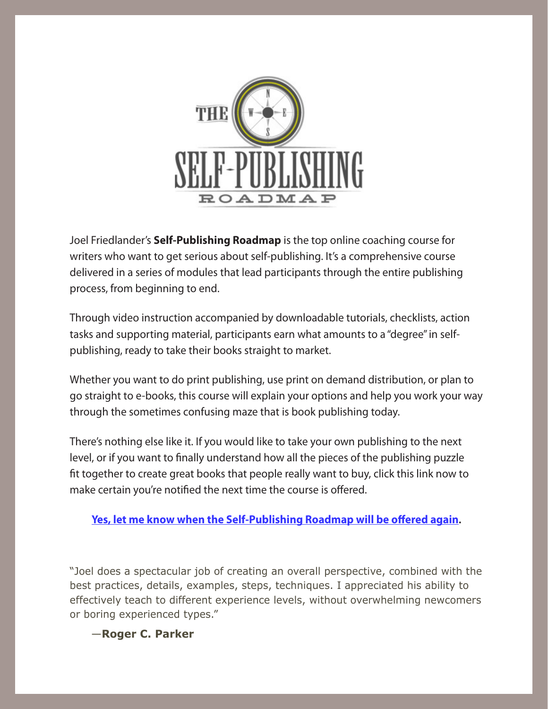

Joel Friedlander's **Self-Publishing Roadmap** is the top online coaching course for writers who want to get serious about self-publishing. It's a comprehensive course delivered in a series of modules that lead participants through the entire publishing process, from beginning to end.

Through video instruction accompanied by downloadable tutorials, checklists, action tasks and supporting material, participants earn what amounts to a "degree" in selfpublishing, ready to take their books straight to market.

Whether you want to do print publishing, use print on demand distribution, or plan to go straight to e-books, this course will explain your options and help you work your way through the sometimes confusing maze that is book publishing today.

There's nothing else like it. If you would like to take your own publishing to the next level, or if you want to finally understand how all the pieces of the publishing puzzle fit together to create great books that people really want to buy, click this link now to make certain you're notified the next time the course is offered.

#### **[Yes, let me know when the Self-Publishing Roadmap will be offered again](http://www.thebookdesigner.com/roadmap-early-notice-list-double).**

"Joel does a spectacular job of creating an overall perspective, combined with the best practices, details, examples, steps, techniques. I appreciated his ability to effectively teach to different experience levels, without overwhelming newcomers or boring experienced types."

—**Roger C. Parker**